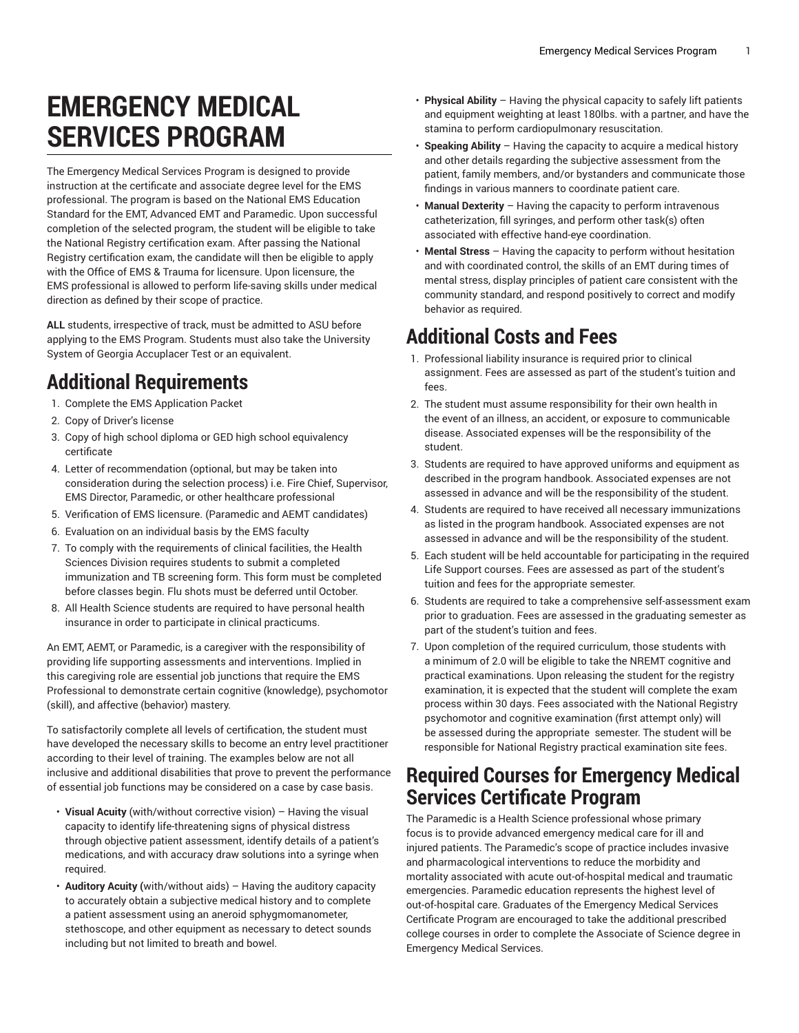# **EMERGENCY MEDICAL SERVICES PROGRAM**

The Emergency Medical Services Program is designed to provide instruction at the certificate and associate degree level for the EMS professional. The program is based on the National EMS Education Standard for the EMT, Advanced EMT and Paramedic. Upon successful completion of the selected program, the student will be eligible to take the National Registry certification exam. After passing the National Registry certification exam, the candidate will then be eligible to apply with the Office of EMS & Trauma for licensure. Upon licensure, the EMS professional is allowed to perform life-saving skills under medical direction as defined by their scope of practice.

**ALL** students, irrespective of track, must be admitted to ASU before applying to the EMS Program. Students must also take the University System of Georgia Accuplacer Test or an equivalent.

# **Additional Requirements**

- 1. Complete the EMS Application Packet
- 2. Copy of Driver's license
- 3. Copy of high school diploma or GED high school equivalency certificate
- 4. Letter of recommendation (optional, but may be taken into consideration during the selection process) i.e. Fire Chief, Supervisor, EMS Director, Paramedic, or other healthcare professional
- 5. Verification of EMS licensure. (Paramedic and AEMT candidates)
- 6. Evaluation on an individual basis by the EMS faculty
- 7. To comply with the requirements of clinical facilities, the Health Sciences Division requires students to submit a completed immunization and TB screening form. This form must be completed before classes begin. Flu shots must be deferred until October.
- 8. All Health Science students are required to have personal health insurance in order to participate in clinical practicums.

An EMT, AEMT, or Paramedic, is a caregiver with the responsibility of providing life supporting assessments and interventions. Implied in this caregiving role are essential job junctions that require the EMS Professional to demonstrate certain cognitive (knowledge), psychomotor (skill), and affective (behavior) mastery.

To satisfactorily complete all levels of certification, the student must have developed the necessary skills to become an entry level practitioner according to their level of training. The examples below are not all inclusive and additional disabilities that prove to prevent the performance of essential job functions may be considered on a case by case basis.

- **Visual Acuity** (with/without corrective vision) Having the visual capacity to identify life-threatening signs of physical distress through objective patient assessment, identify details of a patient's medications, and with accuracy draw solutions into a syringe when required.
- **Auditory Acuity (**with/without aids) Having the auditory capacity to accurately obtain a subjective medical history and to complete a patient assessment using an aneroid sphygmomanometer, stethoscope, and other equipment as necessary to detect sounds including but not limited to breath and bowel.
- **Physical Ability** Having the physical capacity to safely lift patients and equipment weighting at least 180lbs. with a partner, and have the stamina to perform cardiopulmonary resuscitation.
- **Speaking Ability** Having the capacity to acquire a medical history and other details regarding the subjective assessment from the patient, family members, and/or bystanders and communicate those findings in various manners to coordinate patient care.
- **Manual Dexterity** Having the capacity to perform intravenous catheterization, fill syringes, and perform other task(s) often associated with effective hand-eye coordination.
- **Mental Stress** Having the capacity to perform without hesitation and with coordinated control, the skills of an EMT during times of mental stress, display principles of patient care consistent with the community standard, and respond positively to correct and modify behavior as required.

# **Additional Costs and Fees**

- 1. Professional liability insurance is required prior to clinical assignment. Fees are assessed as part of the student's tuition and fees.
- 2. The student must assume responsibility for their own health in the event of an illness, an accident, or exposure to communicable disease. Associated expenses will be the responsibility of the student.
- 3. Students are required to have approved uniforms and equipment as described in the program handbook. Associated expenses are not assessed in advance and will be the responsibility of the student.
- 4. Students are required to have received all necessary immunizations as listed in the program handbook. Associated expenses are not assessed in advance and will be the responsibility of the student.
- 5. Each student will be held accountable for participating in the required Life Support courses. Fees are assessed as part of the student's tuition and fees for the appropriate semester.
- 6. Students are required to take a comprehensive self-assessment exam prior to graduation. Fees are assessed in the graduating semester as part of the student's tuition and fees.
- 7. Upon completion of the required curriculum, those students with a minimum of 2.0 will be eligible to take the NREMT cognitive and practical examinations. Upon releasing the student for the registry examination, it is expected that the student will complete the exam process within 30 days. Fees associated with the National Registry psychomotor and cognitive examination (first attempt only) will be assessed during the appropriate semester. The student will be responsible for National Registry practical examination site fees.

### **Required Courses for Emergency Medical Services Certificate Program**

The Paramedic is a Health Science professional whose primary focus is to provide advanced emergency medical care for ill and injured patients. The Paramedic's scope of practice includes invasive and pharmacological interventions to reduce the morbidity and mortality associated with acute out-of-hospital medical and traumatic emergencies. Paramedic education represents the highest level of out-of-hospital care. Graduates of the Emergency Medical Services Certificate Program are encouraged to take the additional prescribed college courses in order to complete the Associate of Science degree in Emergency Medical Services.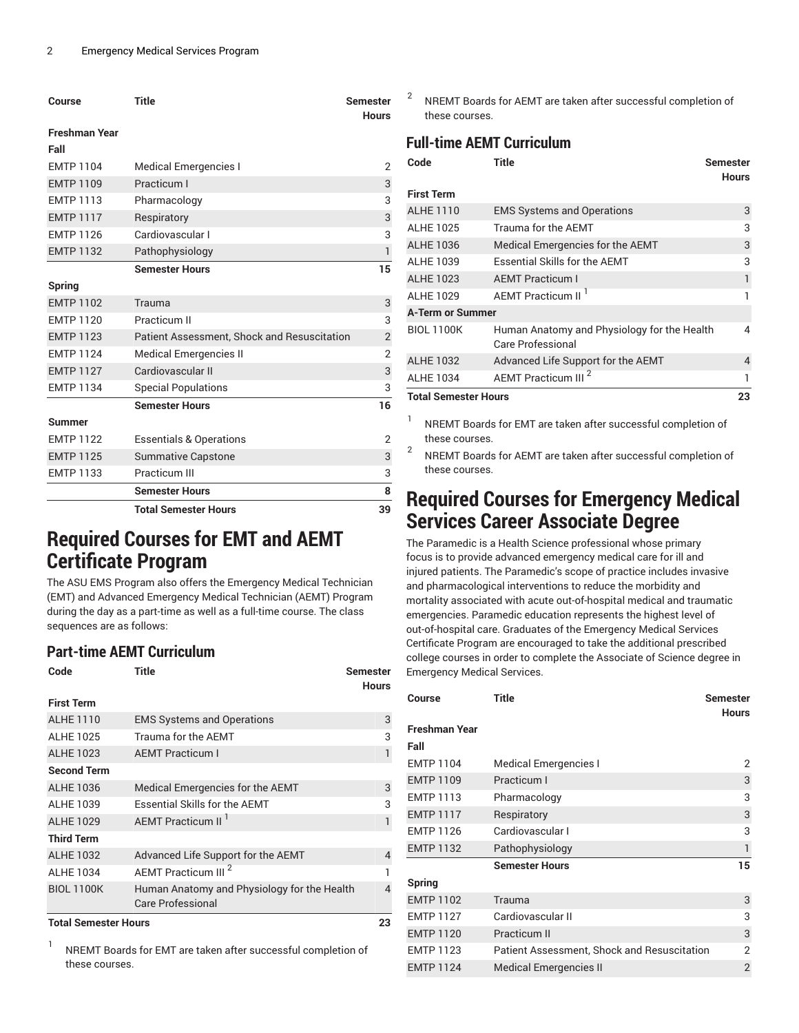| Course               | <b>Title</b>                                | <b>Semester</b><br><b>Hours</b> |
|----------------------|---------------------------------------------|---------------------------------|
| <b>Freshman Year</b> |                                             |                                 |
| Fall                 |                                             |                                 |
| <b>EMTP 1104</b>     | <b>Medical Emergencies I</b>                | 2                               |
| <b>EMTP 1109</b>     | Practicum I                                 | 3                               |
| <b>EMTP 1113</b>     | Pharmacology                                | 3                               |
| <b>EMTP 1117</b>     | Respiratory                                 | $\mathsf 3$                     |
| <b>EMTP 1126</b>     | Cardiovascular I                            | 3                               |
| <b>EMTP 1132</b>     | Pathophysiology                             | 1                               |
|                      | <b>Semester Hours</b>                       | 15                              |
| Spring               |                                             |                                 |
| <b>EMTP 1102</b>     | Trauma                                      | 3                               |
| <b>FMTP 1120</b>     | Practicum II                                | 3                               |
| <b>EMTP 1123</b>     | Patient Assessment, Shock and Resuscitation | $\overline{2}$                  |
| <b>EMTP 1124</b>     | <b>Medical Emergencies II</b>               | $\overline{2}$                  |
| <b>EMTP 1127</b>     | Cardiovascular II                           | 3                               |
| <b>EMTP 1134</b>     | <b>Special Populations</b>                  | 3                               |
|                      | <b>Semester Hours</b>                       | 16                              |
| <b>Summer</b>        |                                             |                                 |
| <b>EMTP 1122</b>     | <b>Essentials &amp; Operations</b>          | 2                               |
| <b>EMTP 1125</b>     | <b>Summative Capstone</b>                   | 3                               |
| <b>EMTP 1133</b>     | Practicum III                               | 3                               |
|                      | <b>Semester Hours</b>                       | 8                               |
|                      | <b>Total Semester Hours</b>                 | 39                              |

### **Required Courses for EMT and AEMT Certificate Program**

The ASU EMS Program also offers the Emergency Medical Technician (EMT) and Advanced Emergency Medical Technician (AEMT) Program during the day as a part-time as well as a full-time course. The class sequences are as follows:

### **Part-time AEMT Curriculum**

| Code                        | <b>Title</b>                                                            | Semester<br><b>Hours</b> |
|-----------------------------|-------------------------------------------------------------------------|--------------------------|
| <b>First Term</b>           |                                                                         |                          |
| <b>ALHE 1110</b>            | <b>EMS Systems and Operations</b>                                       | 3                        |
| <b>ALHE 1025</b>            | Trauma for the AEMT                                                     | 3                        |
| <b>ALHE 1023</b>            | <b>AEMT Practicum I</b>                                                 | 1                        |
| <b>Second Term</b>          |                                                                         |                          |
| <b>ALHE 1036</b>            | Medical Emergencies for the AEMT                                        | 3                        |
| <b>ALHE 1039</b>            | <b>Essential Skills for the AEMT</b>                                    | 3                        |
| <b>ALHE 1029</b>            | AEMT Practicum II <sup>1</sup>                                          | $\mathbf{1}$             |
| <b>Third Term</b>           |                                                                         |                          |
| <b>ALHE 1032</b>            | Advanced Life Support for the AEMT                                      | 4                        |
| <b>ALHE 1034</b>            | AEMT Practicum III <sup>2</sup>                                         |                          |
| <b>BIOL 1100K</b>           | Human Anatomy and Physiology for the Health<br><b>Care Professional</b> | 4                        |
| <b>Total Semester Hours</b> |                                                                         | 23                       |

1

NREMT Boards for EMT are taken after successful completion of these courses.

2 NREMT Boards for AEMT are taken after successful completion of these courses.

### **Full-time AEMT Curriculum**

| Code                        | Title                                                            | <b>Semester</b><br>Hours |
|-----------------------------|------------------------------------------------------------------|--------------------------|
| <b>First Term</b>           |                                                                  |                          |
| <b>ALHE 1110</b>            | <b>EMS Systems and Operations</b>                                | 3                        |
| <b>ALHE 1025</b>            | Trauma for the AEMT                                              | 3                        |
| <b>ALHE 1036</b>            | Medical Emergencies for the AEMT                                 | 3                        |
| <b>ALHE 1039</b>            | <b>Essential Skills for the AEMT</b>                             | 3                        |
| <b>ALHE 1023</b>            | <b>AEMT Practicum I</b>                                          | 1                        |
| <b>ALHE 1029</b>            | AEMT Practicum II <sup>1</sup>                                   |                          |
| <b>A-Term or Summer</b>     |                                                                  |                          |
| <b>BIOL 1100K</b>           | Human Anatomy and Physiology for the Health<br>Care Professional | 4                        |
| <b>ALHE 1032</b>            | Advanced Life Support for the AEMT                               | 4                        |
| <b>ALHE 1034</b>            | AEMT Practicum III <sup>2</sup>                                  |                          |
| <b>Total Sampeter Houre</b> |                                                                  | つつ                       |

**Total Semester Hours 23**

1 NREMT Boards for EMT are taken after successful completion of these courses.

2 NREMT Boards for AEMT are taken after successful completion of these courses.

### **Required Courses for Emergency Medical Services Career Associate Degree**

The Paramedic is a Health Science professional whose primary focus is to provide advanced emergency medical care for ill and injured patients. The Paramedic's scope of practice includes invasive and pharmacological interventions to reduce the morbidity and mortality associated with acute out-of-hospital medical and traumatic emergencies. Paramedic education represents the highest level of out-of-hospital care. Graduates of the Emergency Medical Services Certificate Program are encouraged to take the additional prescribed college courses in order to complete the Associate of Science degree in Emergency Medical Services.

| Course           | <b>Title</b>                                | <b>Semester</b><br><b>Hours</b> |
|------------------|---------------------------------------------|---------------------------------|
| Freshman Year    |                                             |                                 |
| Fall             |                                             |                                 |
| <b>EMTP 1104</b> | <b>Medical Emergencies I</b>                | 2                               |
| <b>EMTP 1109</b> | Practicum I                                 | 3                               |
| <b>EMTP 1113</b> | Pharmacology                                | 3                               |
| <b>EMTP 1117</b> | Respiratory                                 | 3                               |
| <b>EMTP 1126</b> | Cardiovascular I                            | 3                               |
| <b>EMTP 1132</b> | Pathophysiology                             | 1                               |
|                  | <b>Semester Hours</b>                       | 15                              |
| Spring           |                                             |                                 |
| <b>EMTP 1102</b> | Trauma                                      | 3                               |
| <b>EMTP 1127</b> | Cardiovascular II                           | 3                               |
| <b>EMTP 1120</b> | Practicum II                                | 3                               |
| <b>EMTP 1123</b> | Patient Assessment, Shock and Resuscitation | $\overline{2}$                  |
| <b>EMTP 1124</b> | <b>Medical Emergencies II</b>               | $\overline{2}$                  |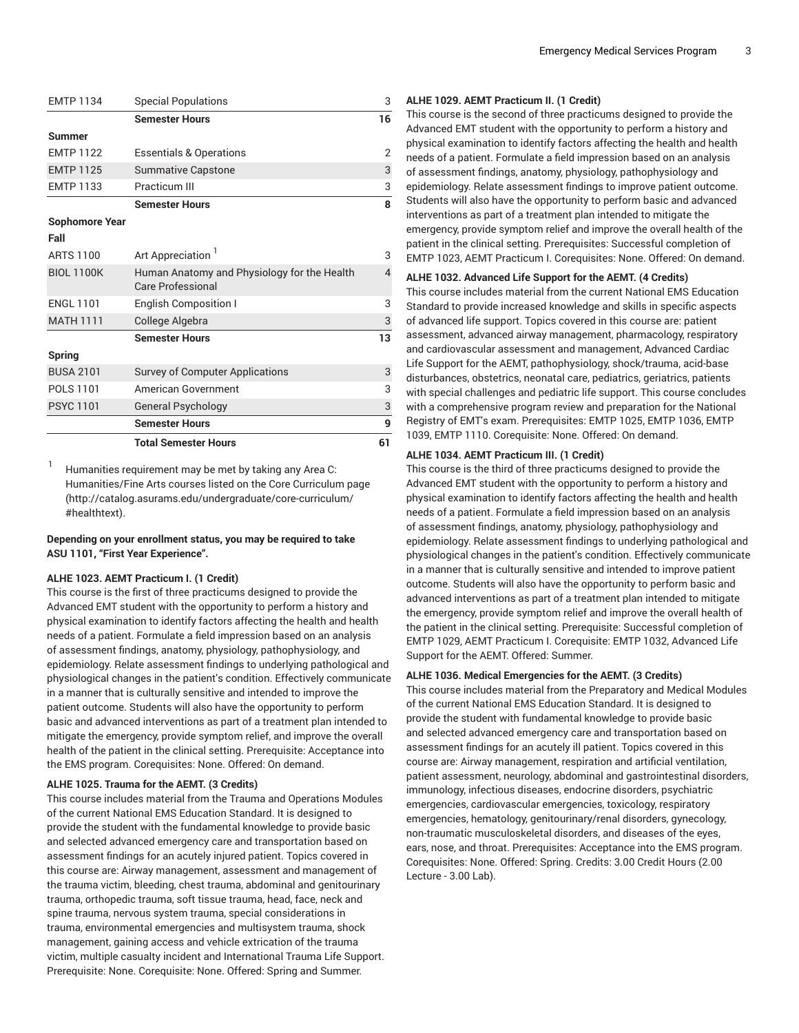|  | <b>Emergency Medical Services Program</b> |  |
|--|-------------------------------------------|--|
|--|-------------------------------------------|--|

| <b>Semester Hours</b><br>Summer<br><b>EMTP 1122</b><br><b>Essentials &amp; Operations</b><br><b>EMTP 1125</b><br><b>Summative Capstone</b><br>Practicum III<br><b>EMTP 1133</b><br><b>Semester Hours</b><br><b>Sophomore Year</b><br>Fall<br>Art Appreciation <sup>1</sup><br><b>ARTS 1100</b><br><b>BIOL 1100K</b><br>Human Anatomy and Physiology for the Health<br><b>Care Professional</b><br><b>ENGL 1101</b><br>English Composition I<br><b>MATH 1111</b><br>College Algebra<br><b>Semester Hours</b><br>Spring<br><b>BUSA 2101</b><br>Survey of Computer Applications<br><b>POLS 1101</b><br><b>American Government</b><br><b>PSYC 1101</b><br><b>General Psychology</b><br><b>Semester Hours</b><br><b>Total Semester Hours</b> | <b>EMTP 1134</b> | <b>Special Populations</b> | 3              |
|-----------------------------------------------------------------------------------------------------------------------------------------------------------------------------------------------------------------------------------------------------------------------------------------------------------------------------------------------------------------------------------------------------------------------------------------------------------------------------------------------------------------------------------------------------------------------------------------------------------------------------------------------------------------------------------------------------------------------------------------|------------------|----------------------------|----------------|
|                                                                                                                                                                                                                                                                                                                                                                                                                                                                                                                                                                                                                                                                                                                                         |                  |                            | 16             |
|                                                                                                                                                                                                                                                                                                                                                                                                                                                                                                                                                                                                                                                                                                                                         |                  |                            |                |
|                                                                                                                                                                                                                                                                                                                                                                                                                                                                                                                                                                                                                                                                                                                                         |                  |                            | $\overline{2}$ |
|                                                                                                                                                                                                                                                                                                                                                                                                                                                                                                                                                                                                                                                                                                                                         |                  |                            | 3              |
|                                                                                                                                                                                                                                                                                                                                                                                                                                                                                                                                                                                                                                                                                                                                         |                  |                            | 3              |
|                                                                                                                                                                                                                                                                                                                                                                                                                                                                                                                                                                                                                                                                                                                                         |                  |                            | 8              |
|                                                                                                                                                                                                                                                                                                                                                                                                                                                                                                                                                                                                                                                                                                                                         |                  |                            |                |
|                                                                                                                                                                                                                                                                                                                                                                                                                                                                                                                                                                                                                                                                                                                                         |                  |                            |                |
|                                                                                                                                                                                                                                                                                                                                                                                                                                                                                                                                                                                                                                                                                                                                         |                  |                            | 3              |
|                                                                                                                                                                                                                                                                                                                                                                                                                                                                                                                                                                                                                                                                                                                                         |                  |                            | 4              |
|                                                                                                                                                                                                                                                                                                                                                                                                                                                                                                                                                                                                                                                                                                                                         |                  |                            | 3              |
|                                                                                                                                                                                                                                                                                                                                                                                                                                                                                                                                                                                                                                                                                                                                         |                  |                            | $\mathsf 3$    |
|                                                                                                                                                                                                                                                                                                                                                                                                                                                                                                                                                                                                                                                                                                                                         |                  |                            | 13             |
|                                                                                                                                                                                                                                                                                                                                                                                                                                                                                                                                                                                                                                                                                                                                         |                  |                            |                |
|                                                                                                                                                                                                                                                                                                                                                                                                                                                                                                                                                                                                                                                                                                                                         |                  |                            | 3              |
|                                                                                                                                                                                                                                                                                                                                                                                                                                                                                                                                                                                                                                                                                                                                         |                  |                            | 3              |
|                                                                                                                                                                                                                                                                                                                                                                                                                                                                                                                                                                                                                                                                                                                                         |                  |                            | 3              |
|                                                                                                                                                                                                                                                                                                                                                                                                                                                                                                                                                                                                                                                                                                                                         |                  |                            | 9              |
|                                                                                                                                                                                                                                                                                                                                                                                                                                                                                                                                                                                                                                                                                                                                         |                  |                            | 61             |

1 Humanities requirement may be met by taking any Area C: Humanities/Fine Arts courses listed on the Core [Curriculum](http://catalog.asurams.edu/undergraduate/core-curriculum/#healthtext) page ([http://catalog.asurams.edu/undergraduate/core-curriculum/](http://catalog.asurams.edu/undergraduate/core-curriculum/#healthtext) [#healthtext](http://catalog.asurams.edu/undergraduate/core-curriculum/#healthtext)).

**Depending on your enrollment status, you may be required to take ASU 1101, "First Year Experience".**

#### **ALHE 1023. AEMT Practicum I. (1 Credit)**

This course is the first of three practicums designed to provide the Advanced EMT student with the opportunity to perform a history and physical examination to identify factors affecting the health and health needs of a patient. Formulate a field impression based on an analysis of assessment findings, anatomy, physiology, pathophysiology, and epidemiology. Relate assessment findings to underlying pathological and physiological changes in the patient's condition. Effectively communicate in a manner that is culturally sensitive and intended to improve the patient outcome. Students will also have the opportunity to perform basic and advanced interventions as part of a treatment plan intended to mitigate the emergency, provide symptom relief, and improve the overall health of the patient in the clinical setting. Prerequisite: Acceptance into the EMS program. Corequisites: None. Offered: On demand.

#### **ALHE 1025. Trauma for the AEMT. (3 Credits)**

This course includes material from the Trauma and Operations Modules of the current National EMS Education Standard. It is designed to provide the student with the fundamental knowledge to provide basic and selected advanced emergency care and transportation based on assessment findings for an acutely injured patient. Topics covered in this course are: Airway management, assessment and management of the trauma victim, bleeding, chest trauma, abdominal and genitourinary trauma, orthopedic trauma, soft tissue trauma, head, face, neck and spine trauma, nervous system trauma, special considerations in trauma, environmental emergencies and multisystem trauma, shock management, gaining access and vehicle extrication of the trauma victim, multiple casualty incident and International Trauma Life Support. Prerequisite: None. Corequisite: None. Offered: Spring and Summer.

#### **ALHE 1029. AEMT Practicum II. (1 Credit)**

This course is the second of three practicums designed to provide the Advanced EMT student with the opportunity to perform a history and physical examination to identify factors affecting the health and health needs of a patient. Formulate a field impression based on an analysis of assessment findings, anatomy, physiology, pathophysiology and epidemiology. Relate assessment findings to improve patient outcome. Students will also have the opportunity to perform basic and advanced interventions as part of a treatment plan intended to mitigate the emergency, provide symptom relief and improve the overall health of the patient in the clinical setting. Prerequisites: Successful completion of EMTP 1023, AEMT Practicum I. Corequisites: None. Offered: On demand.

#### **ALHE 1032. Advanced Life Support for the AEMT. (4 Credits)**

This course includes material from the current National EMS Education Standard to provide increased knowledge and skills in specific aspects of advanced life support. Topics covered in this course are: patient assessment, advanced airway management, pharmacology, respiratory and cardiovascular assessment and management, Advanced Cardiac Life Support for the AEMT, pathophysiology, shock/trauma, acid-base disturbances, obstetrics, neonatal care, pediatrics, geriatrics, patients with special challenges and pediatric life support. This course concludes with a comprehensive program review and preparation for the National Registry of EMT's exam. Prerequisites: EMTP 1025, EMTP 1036, EMTP 1039, EMTP 1110. Corequisite: None. Offered: On demand.

#### **ALHE 1034. AEMT Practicum III. (1 Credit)**

This course is the third of three practicums designed to provide the Advanced EMT student with the opportunity to perform a history and physical examination to identify factors affecting the health and health needs of a patient. Formulate a field impression based on an analysis of assessment findings, anatomy, physiology, pathophysiology and epidemiology. Relate assessment findings to underlying pathological and physiological changes in the patient's condition. Effectively communicate in a manner that is culturally sensitive and intended to improve patient outcome. Students will also have the opportunity to perform basic and advanced interventions as part of a treatment plan intended to mitigate the emergency, provide symptom relief and improve the overall health of the patient in the clinical setting. Prerequisite: Successful completion of EMTP 1029, AEMT Practicum I. Corequisite: EMTP 1032, Advanced Life Support for the AEMT. Offered: Summer.

#### **ALHE 1036. Medical Emergencies for the AEMT. (3 Credits)**

This course includes material from the Preparatory and Medical Modules of the current National EMS Education Standard. It is designed to provide the student with fundamental knowledge to provide basic and selected advanced emergency care and transportation based on assessment findings for an acutely ill patient. Topics covered in this course are: Airway management, respiration and artificial ventilation, patient assessment, neurology, abdominal and gastrointestinal disorders, immunology, infectious diseases, endocrine disorders, psychiatric emergencies, cardiovascular emergencies, toxicology, respiratory emergencies, hematology, genitourinary/renal disorders, gynecology, non-traumatic musculoskeletal disorders, and diseases of the eyes, ears, nose, and throat. Prerequisites: Acceptance into the EMS program. Corequisites: None. Offered: Spring. Credits: 3.00 Credit Hours (2.00 Lecture - 3.00 Lab).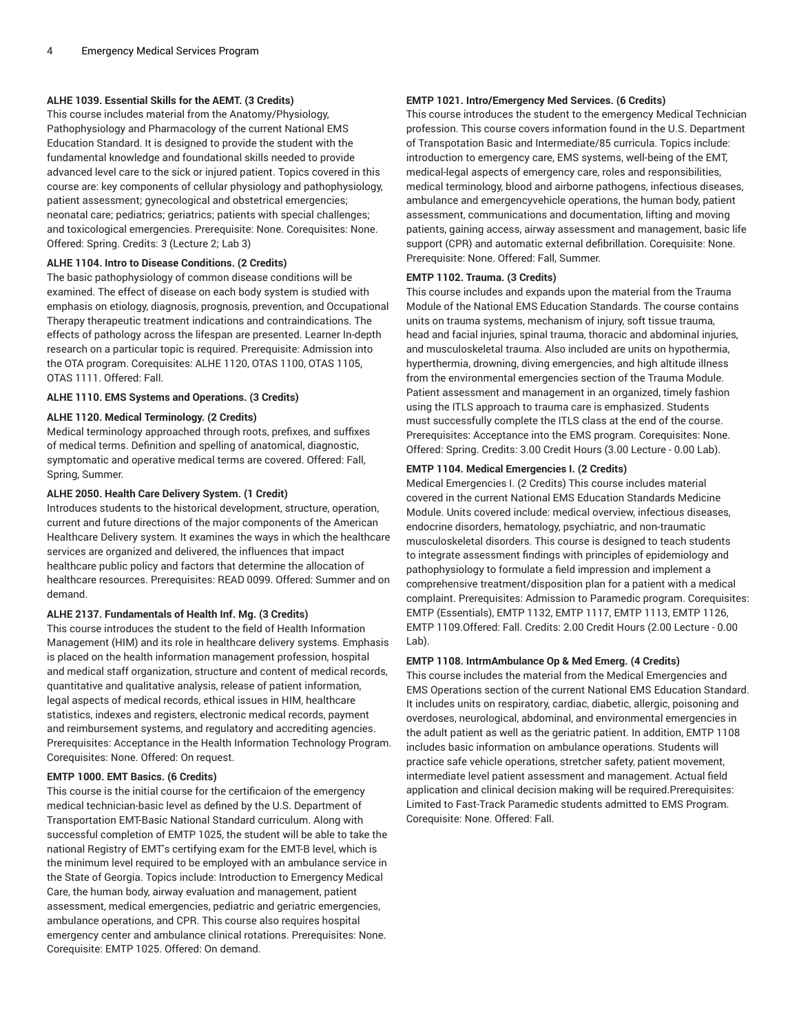#### **ALHE 1039. Essential Skills for the AEMT. (3 Credits)**

This course includes material from the Anatomy/Physiology, Pathophysiology and Pharmacology of the current National EMS Education Standard. It is designed to provide the student with the fundamental knowledge and foundational skills needed to provide advanced level care to the sick or injured patient. Topics covered in this course are: key components of cellular physiology and pathophysiology, patient assessment; gynecological and obstetrical emergencies; neonatal care; pediatrics; geriatrics; patients with special challenges; and toxicological emergencies. Prerequisite: None. Corequisites: None. Offered: Spring. Credits: 3 (Lecture 2; Lab 3)

#### **ALHE 1104. Intro to Disease Conditions. (2 Credits)**

The basic pathophysiology of common disease conditions will be examined. The effect of disease on each body system is studied with emphasis on etiology, diagnosis, prognosis, prevention, and Occupational Therapy therapeutic treatment indications and contraindications. The effects of pathology across the lifespan are presented. Learner In-depth research on a particular topic is required. Prerequisite: Admission into the OTA program. Corequisites: ALHE 1120, OTAS 1100, OTAS 1105, OTAS 1111. Offered: Fall.

#### **ALHE 1110. EMS Systems and Operations. (3 Credits)**

#### **ALHE 1120. Medical Terminology. (2 Credits)**

Medical terminology approached through roots, prefixes, and suffixes of medical terms. Definition and spelling of anatomical, diagnostic, symptomatic and operative medical terms are covered. Offered: Fall, Spring, Summer.

#### **ALHE 2050. Health Care Delivery System. (1 Credit)**

Introduces students to the historical development, structure, operation, current and future directions of the major components of the American Healthcare Delivery system. It examines the ways in which the healthcare services are organized and delivered, the influences that impact healthcare public policy and factors that determine the allocation of healthcare resources. Prerequisites: READ 0099. Offered: Summer and on demand.

#### **ALHE 2137. Fundamentals of Health Inf. Mg. (3 Credits)**

This course introduces the student to the field of Health Information Management (HIM) and its role in healthcare delivery systems. Emphasis is placed on the health information management profession, hospital and medical staff organization, structure and content of medical records, quantitative and qualitative analysis, release of patient information, legal aspects of medical records, ethical issues in HIM, healthcare statistics, indexes and registers, electronic medical records, payment and reimbursement systems, and regulatory and accrediting agencies. Prerequisites: Acceptance in the Health Information Technology Program. Corequisites: None. Offered: On request.

#### **EMTP 1000. EMT Basics. (6 Credits)**

This course is the initial course for the certificaion of the emergency medical technician-basic level as defined by the U.S. Department of Transportation EMT-Basic National Standard curriculum. Along with successful completion of EMTP 1025, the student will be able to take the national Registry of EMT's certifying exam for the EMT-B level, which is the minimum level required to be employed with an ambulance service in the State of Georgia. Topics include: Introduction to Emergency Medical Care, the human body, airway evaluation and management, patient assessment, medical emergencies, pediatric and geriatric emergencies, ambulance operations, and CPR. This course also requires hospital emergency center and ambulance clinical rotations. Prerequisites: None. Corequisite: EMTP 1025. Offered: On demand.

#### **EMTP 1021. Intro/Emergency Med Services. (6 Credits)**

This course introduces the student to the emergency Medical Technician profession. This course covers information found in the U.S. Department of Transpotation Basic and Intermediate/85 curricula. Topics include: introduction to emergency care, EMS systems, well-being of the EMT, medical-legal aspects of emergency care, roles and responsibilities, medical terminology, blood and airborne pathogens, infectious diseases, ambulance and emergencyvehicle operations, the human body, patient assessment, communications and documentation, lifting and moving patients, gaining access, airway assessment and management, basic life support (CPR) and automatic external defibrillation. Corequisite: None. Prerequisite: None. Offered: Fall, Summer.

#### **EMTP 1102. Trauma. (3 Credits)**

This course includes and expands upon the material from the Trauma Module of the National EMS Education Standards. The course contains units on trauma systems, mechanism of injury, soft tissue trauma, head and facial injuries, spinal trauma, thoracic and abdominal injuries, and musculoskeletal trauma. Also included are units on hypothermia, hyperthermia, drowning, diving emergencies, and high altitude illness from the environmental emergencies section of the Trauma Module. Patient assessment and management in an organized, timely fashion using the ITLS approach to trauma care is emphasized. Students must successfully complete the ITLS class at the end of the course. Prerequisites: Acceptance into the EMS program. Corequisites: None. Offered: Spring. Credits: 3.00 Credit Hours (3.00 Lecture - 0.00 Lab).

#### **EMTP 1104. Medical Emergencies I. (2 Credits)**

Medical Emergencies I. (2 Credits) This course includes material covered in the current National EMS Education Standards Medicine Module. Units covered include: medical overview, infectious diseases, endocrine disorders, hematology, psychiatric, and non-traumatic musculoskeletal disorders. This course is designed to teach students to integrate assessment findings with principles of epidemiology and pathophysiology to formulate a field impression and implement a comprehensive treatment/disposition plan for a patient with a medical complaint. Prerequisites: Admission to Paramedic program. Corequisites: EMTP (Essentials), EMTP 1132, EMTP 1117, EMTP 1113, EMTP 1126, EMTP 1109.Offered: Fall. Credits: 2.00 Credit Hours (2.00 Lecture - 0.00 Lab).

#### **EMTP 1108. IntrmAmbulance Op & Med Emerg. (4 Credits)**

This course includes the material from the Medical Emergencies and EMS Operations section of the current National EMS Education Standard. It includes units on respiratory, cardiac, diabetic, allergic, poisoning and overdoses, neurological, abdominal, and environmental emergencies in the adult patient as well as the geriatric patient. In addition, EMTP 1108 includes basic information on ambulance operations. Students will practice safe vehicle operations, stretcher safety, patient movement, intermediate level patient assessment and management. Actual field application and clinical decision making will be required.Prerequisites: Limited to Fast-Track Paramedic students admitted to EMS Program. Corequisite: None. Offered: Fall.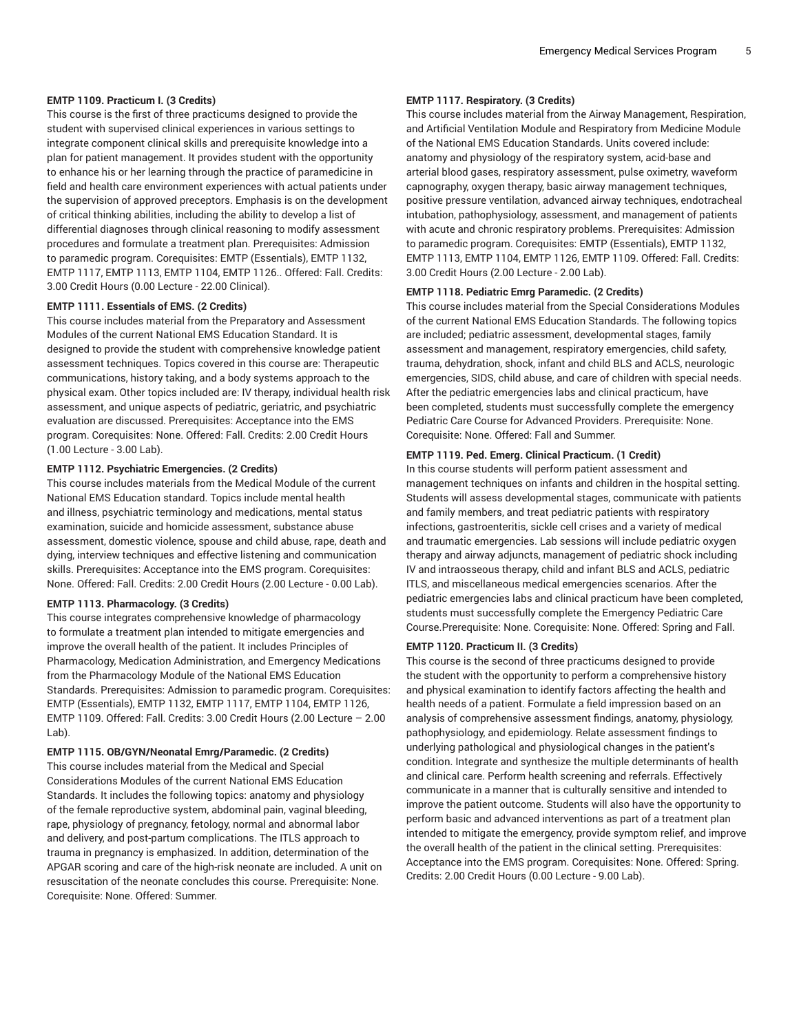#### **EMTP 1109. Practicum I. (3 Credits)**

This course is the first of three practicums designed to provide the student with supervised clinical experiences in various settings to integrate component clinical skills and prerequisite knowledge into a plan for patient management. It provides student with the opportunity to enhance his or her learning through the practice of paramedicine in field and health care environment experiences with actual patients under the supervision of approved preceptors. Emphasis is on the development of critical thinking abilities, including the ability to develop a list of differential diagnoses through clinical reasoning to modify assessment procedures and formulate a treatment plan. Prerequisites: Admission to paramedic program. Corequisites: EMTP (Essentials), EMTP 1132, EMTP 1117, EMTP 1113, EMTP 1104, EMTP 1126.. Offered: Fall. Credits: 3.00 Credit Hours (0.00 Lecture - 22.00 Clinical).

#### **EMTP 1111. Essentials of EMS. (2 Credits)**

This course includes material from the Preparatory and Assessment Modules of the current National EMS Education Standard. It is designed to provide the student with comprehensive knowledge patient assessment techniques. Topics covered in this course are: Therapeutic communications, history taking, and a body systems approach to the physical exam. Other topics included are: IV therapy, individual health risk assessment, and unique aspects of pediatric, geriatric, and psychiatric evaluation are discussed. Prerequisites: Acceptance into the EMS program. Corequisites: None. Offered: Fall. Credits: 2.00 Credit Hours (1.00 Lecture - 3.00 Lab).

#### **EMTP 1112. Psychiatric Emergencies. (2 Credits)**

This course includes materials from the Medical Module of the current National EMS Education standard. Topics include mental health and illness, psychiatric terminology and medications, mental status examination, suicide and homicide assessment, substance abuse assessment, domestic violence, spouse and child abuse, rape, death and dying, interview techniques and effective listening and communication skills. Prerequisites: Acceptance into the EMS program. Corequisites: None. Offered: Fall. Credits: 2.00 Credit Hours (2.00 Lecture - 0.00 Lab).

#### **EMTP 1113. Pharmacology. (3 Credits)**

This course integrates comprehensive knowledge of pharmacology to formulate a treatment plan intended to mitigate emergencies and improve the overall health of the patient. It includes Principles of Pharmacology, Medication Administration, and Emergency Medications from the Pharmacology Module of the National EMS Education Standards. Prerequisites: Admission to paramedic program. Corequisites: EMTP (Essentials), EMTP 1132, EMTP 1117, EMTP 1104, EMTP 1126, EMTP 1109. Offered: Fall. Credits: 3.00 Credit Hours (2.00 Lecture – 2.00 Lab).

#### **EMTP 1115. OB/GYN/Neonatal Emrg/Paramedic. (2 Credits)**

This course includes material from the Medical and Special Considerations Modules of the current National EMS Education Standards. It includes the following topics: anatomy and physiology of the female reproductive system, abdominal pain, vaginal bleeding, rape, physiology of pregnancy, fetology, normal and abnormal labor and delivery, and post-partum complications. The ITLS approach to trauma in pregnancy is emphasized. In addition, determination of the APGAR scoring and care of the high-risk neonate are included. A unit on resuscitation of the neonate concludes this course. Prerequisite: None. Corequisite: None. Offered: Summer.

#### **EMTP 1117. Respiratory. (3 Credits)**

This course includes material from the Airway Management, Respiration, and Artificial Ventilation Module and Respiratory from Medicine Module of the National EMS Education Standards. Units covered include: anatomy and physiology of the respiratory system, acid-base and arterial blood gases, respiratory assessment, pulse oximetry, waveform capnography, oxygen therapy, basic airway management techniques, positive pressure ventilation, advanced airway techniques, endotracheal intubation, pathophysiology, assessment, and management of patients with acute and chronic respiratory problems. Prerequisites: Admission to paramedic program. Corequisites: EMTP (Essentials), EMTP 1132, EMTP 1113, EMTP 1104, EMTP 1126, EMTP 1109. Offered: Fall. Credits: 3.00 Credit Hours (2.00 Lecture - 2.00 Lab).

#### **EMTP 1118. Pediatric Emrg Paramedic. (2 Credits)**

This course includes material from the Special Considerations Modules of the current National EMS Education Standards. The following topics are included; pediatric assessment, developmental stages, family assessment and management, respiratory emergencies, child safety, trauma, dehydration, shock, infant and child BLS and ACLS, neurologic emergencies, SIDS, child abuse, and care of children with special needs. After the pediatric emergencies labs and clinical practicum, have been completed, students must successfully complete the emergency Pediatric Care Course for Advanced Providers. Prerequisite: None. Corequisite: None. Offered: Fall and Summer.

#### **EMTP 1119. Ped. Emerg. Clinical Practicum. (1 Credit)**

In this course students will perform patient assessment and management techniques on infants and children in the hospital setting. Students will assess developmental stages, communicate with patients and family members, and treat pediatric patients with respiratory infections, gastroenteritis, sickle cell crises and a variety of medical and traumatic emergencies. Lab sessions will include pediatric oxygen therapy and airway adjuncts, management of pediatric shock including IV and intraosseous therapy, child and infant BLS and ACLS, pediatric ITLS, and miscellaneous medical emergencies scenarios. After the pediatric emergencies labs and clinical practicum have been completed, students must successfully complete the Emergency Pediatric Care Course.Prerequisite: None. Corequisite: None. Offered: Spring and Fall.

#### **EMTP 1120. Practicum II. (3 Credits)**

This course is the second of three practicums designed to provide the student with the opportunity to perform a comprehensive history and physical examination to identify factors affecting the health and health needs of a patient. Formulate a field impression based on an analysis of comprehensive assessment findings, anatomy, physiology, pathophysiology, and epidemiology. Relate assessment findings to underlying pathological and physiological changes in the patient's condition. Integrate and synthesize the multiple determinants of health and clinical care. Perform health screening and referrals. Effectively communicate in a manner that is culturally sensitive and intended to improve the patient outcome. Students will also have the opportunity to perform basic and advanced interventions as part of a treatment plan intended to mitigate the emergency, provide symptom relief, and improve the overall health of the patient in the clinical setting. Prerequisites: Acceptance into the EMS program. Corequisites: None. Offered: Spring. Credits: 2.00 Credit Hours (0.00 Lecture - 9.00 Lab).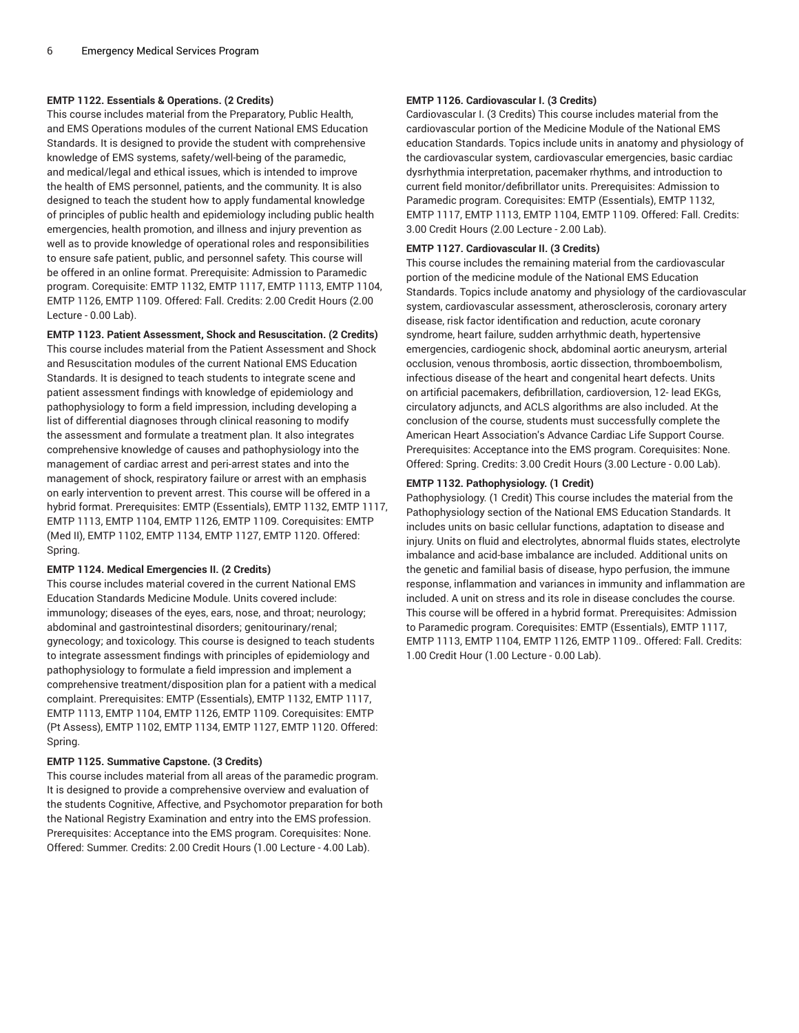#### **EMTP 1122. Essentials & Operations. (2 Credits)**

This course includes material from the Preparatory, Public Health, and EMS Operations modules of the current National EMS Education Standards. It is designed to provide the student with comprehensive knowledge of EMS systems, safety/well-being of the paramedic, and medical/legal and ethical issues, which is intended to improve the health of EMS personnel, patients, and the community. It is also designed to teach the student how to apply fundamental knowledge of principles of public health and epidemiology including public health emergencies, health promotion, and illness and injury prevention as well as to provide knowledge of operational roles and responsibilities to ensure safe patient, public, and personnel safety. This course will be offered in an online format. Prerequisite: Admission to Paramedic program. Corequisite: EMTP 1132, EMTP 1117, EMTP 1113, EMTP 1104, EMTP 1126, EMTP 1109. Offered: Fall. Credits: 2.00 Credit Hours (2.00 Lecture - 0.00 Lab).

#### **EMTP 1123. Patient Assessment, Shock and Resuscitation. (2 Credits)**

This course includes material from the Patient Assessment and Shock and Resuscitation modules of the current National EMS Education Standards. It is designed to teach students to integrate scene and patient assessment findings with knowledge of epidemiology and pathophysiology to form a field impression, including developing a list of differential diagnoses through clinical reasoning to modify the assessment and formulate a treatment plan. It also integrates comprehensive knowledge of causes and pathophysiology into the management of cardiac arrest and peri-arrest states and into the management of shock, respiratory failure or arrest with an emphasis on early intervention to prevent arrest. This course will be offered in a hybrid format. Prerequisites: EMTP (Essentials), EMTP 1132, EMTP 1117, EMTP 1113, EMTP 1104, EMTP 1126, EMTP 1109. Corequisites: EMTP (Med II), EMTP 1102, EMTP 1134, EMTP 1127, EMTP 1120. Offered: Spring.

#### **EMTP 1124. Medical Emergencies II. (2 Credits)**

This course includes material covered in the current National EMS Education Standards Medicine Module. Units covered include: immunology; diseases of the eyes, ears, nose, and throat; neurology; abdominal and gastrointestinal disorders; genitourinary/renal; gynecology; and toxicology. This course is designed to teach students to integrate assessment findings with principles of epidemiology and pathophysiology to formulate a field impression and implement a comprehensive treatment/disposition plan for a patient with a medical complaint. Prerequisites: EMTP (Essentials), EMTP 1132, EMTP 1117, EMTP 1113, EMTP 1104, EMTP 1126, EMTP 1109. Corequisites: EMTP (Pt Assess), EMTP 1102, EMTP 1134, EMTP 1127, EMTP 1120. Offered: Spring.

#### **EMTP 1125. Summative Capstone. (3 Credits)**

This course includes material from all areas of the paramedic program. It is designed to provide a comprehensive overview and evaluation of the students Cognitive, Affective, and Psychomotor preparation for both the National Registry Examination and entry into the EMS profession. Prerequisites: Acceptance into the EMS program. Corequisites: None. Offered: Summer. Credits: 2.00 Credit Hours (1.00 Lecture - 4.00 Lab).

#### **EMTP 1126. Cardiovascular I. (3 Credits)**

Cardiovascular I. (3 Credits) This course includes material from the cardiovascular portion of the Medicine Module of the National EMS education Standards. Topics include units in anatomy and physiology of the cardiovascular system, cardiovascular emergencies, basic cardiac dysrhythmia interpretation, pacemaker rhythms, and introduction to current field monitor/defibrillator units. Prerequisites: Admission to Paramedic program. Corequisites: EMTP (Essentials), EMTP 1132, EMTP 1117, EMTP 1113, EMTP 1104, EMTP 1109. Offered: Fall. Credits: 3.00 Credit Hours (2.00 Lecture - 2.00 Lab).

#### **EMTP 1127. Cardiovascular II. (3 Credits)**

This course includes the remaining material from the cardiovascular portion of the medicine module of the National EMS Education Standards. Topics include anatomy and physiology of the cardiovascular system, cardiovascular assessment, atherosclerosis, coronary artery disease, risk factor identification and reduction, acute coronary syndrome, heart failure, sudden arrhythmic death, hypertensive emergencies, cardiogenic shock, abdominal aortic aneurysm, arterial occlusion, venous thrombosis, aortic dissection, thromboembolism, infectious disease of the heart and congenital heart defects. Units on artificial pacemakers, defibrillation, cardioversion, 12- lead EKGs, circulatory adjuncts, and ACLS algorithms are also included. At the conclusion of the course, students must successfully complete the American Heart Association's Advance Cardiac Life Support Course. Prerequisites: Acceptance into the EMS program. Corequisites: None. Offered: Spring. Credits: 3.00 Credit Hours (3.00 Lecture - 0.00 Lab).

#### **EMTP 1132. Pathophysiology. (1 Credit)**

Pathophysiology. (1 Credit) This course includes the material from the Pathophysiology section of the National EMS Education Standards. It includes units on basic cellular functions, adaptation to disease and injury. Units on fluid and electrolytes, abnormal fluids states, electrolyte imbalance and acid-base imbalance are included. Additional units on the genetic and familial basis of disease, hypo perfusion, the immune response, inflammation and variances in immunity and inflammation are included. A unit on stress and its role in disease concludes the course. This course will be offered in a hybrid format. Prerequisites: Admission to Paramedic program. Corequisites: EMTP (Essentials), EMTP 1117, EMTP 1113, EMTP 1104, EMTP 1126, EMTP 1109.. Offered: Fall. Credits: 1.00 Credit Hour (1.00 Lecture - 0.00 Lab).